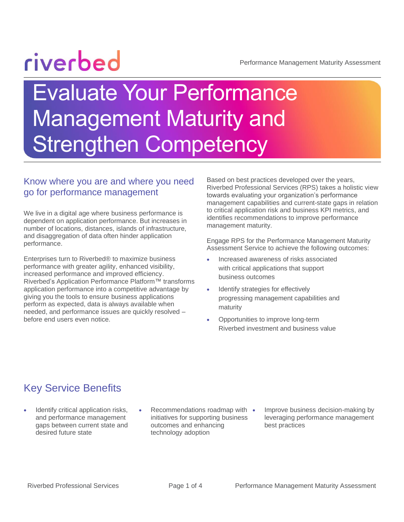# riverbed

Performance Management Maturity Assessment

## Evaluate Your Performance Management Maturity and **Strengthen Competency**

#### Know where you are and where you need go for performance management

We live in a digital age where business performance is dependent on application performance. But increases in number of locations, distances, islands of infrastructure, and disaggregation of data often hinder application performance.

Enterprises turn to Riverbed® to maximize business performance with greater agility, enhanced visibility, increased performance and improved efficiency. Riverbed's Application Performance Platform™ transforms application performance into a competitive advantage by giving you the tools to ensure business applications perform as expected, data is always available when needed, and performance issues are quickly resolved – before end users even notice.

Based on best practices developed over the years, Riverbed Professional Services (RPS) takes a holistic view towards evaluating your organization's performance management capabilities and current-state gaps in relation to critical application risk and business KPI metrics, and identifies recommendations to improve performance management maturity.

Engage RPS for the Performance Management Maturity Assessment Service to achieve the following outcomes:

- Increased awareness of risks associated with critical applications that support business outcomes
- Identify strategies for effectively progressing management capabilities and maturity
- Opportunities to improve long-term Riverbed investment and business value

#### Key Service Benefits

- Identify critical application risks, and performance management gaps between current state and desired future state
- Recommendations roadmap with initiatives for supporting business outcomes and enhancing technology adoption
- Improve business decision-making by leveraging performance management best practices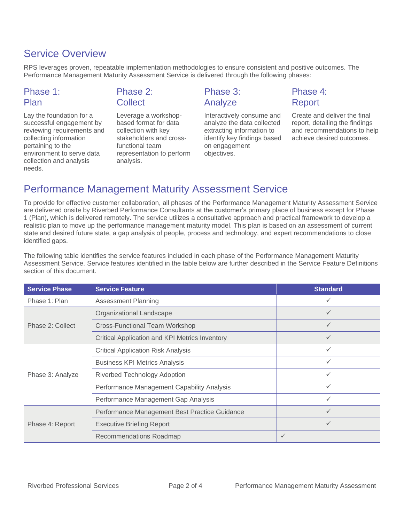#### Service Overview

RPS leverages proven, repeatable implementation methodologies to ensure consistent and positive outcomes. The Performance Management Maturity Assessment Service is delivered through the following phases:

#### Phase 1: Plan

#### Phase 2: **Collect**

Lay the foundation for a successful engagement by reviewing requirements and collecting information pertaining to the environment to serve data collection and analysis needs.

Leverage a workshopbased format for data collection with key stakeholders and crossfunctional team representation to perform analysis.

#### Phase 3: Analyze

Interactively consume and analyze the data collected extracting information to identify key findings based on engagement objectives.

#### Phase 4: Report

Create and deliver the final report, detailing the findings and recommendations to help achieve desired outcomes.

#### Performance Management Maturity Assessment Service

To provide for effective customer collaboration, all phases of the Performance Management Maturity Assessment Service are delivered onsite by Riverbed Performance Consultants at the customer's primary place of business except for Phase 1 (Plan), which is delivered remotely. The service utilizes a consultative approach and practical framework to develop a realistic plan to move up the performance management maturity model. This plan is based on an assessment of current state and desired future state, a gap analysis of people, process and technology, and expert recommendations to close identified gaps.

The following table identifies the service features included in each phase of the Performance Management Maturity Assessment Service. Service features identified in the table below are further described in the Service Feature Definitions section of this document.

| <b>Service Phase</b> | <b>Service Feature</b>                                | <b>Standard</b> |
|----------------------|-------------------------------------------------------|-----------------|
| Phase 1: Plan        | <b>Assessment Planning</b>                            | ✓               |
| Phase 2: Collect     | Organizational Landscape                              | ✓               |
|                      | <b>Cross-Functional Team Workshop</b>                 | ✓               |
|                      | <b>Critical Application and KPI Metrics Inventory</b> | ✓               |
| Phase 3: Analyze     | <b>Critical Application Risk Analysis</b>             |                 |
|                      | <b>Business KPI Metrics Analysis</b>                  |                 |
|                      | <b>Riverbed Technology Adoption</b>                   | ✓               |
|                      | Performance Management Capability Analysis            | ✓               |
|                      | Performance Management Gap Analysis                   | ✓               |
| Phase 4: Report      | Performance Management Best Practice Guidance         | $\checkmark$    |
|                      | <b>Executive Briefing Report</b>                      | $\checkmark$    |
|                      | Recommendations Roadmap                               | $\checkmark$    |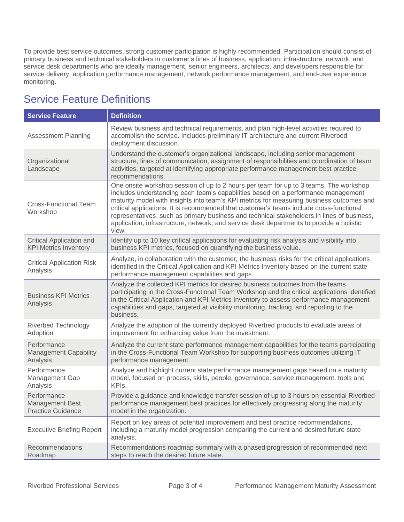To provide best service outcomes, strong customer participation is highly recommended. Participation should consist of primary business and technical stakeholders in customer's lines of business, application, infrastructure, network, and service desk departments who are ideally management, senior engineers, architects, and developers responsible for service delivery, application performance management, network performance management, and end-user experience monitoring.

#### Service Feature Definitions

| <b>Service Feature</b>                                            | <b>Definition</b>                                                                                                                                                                                                                                                                                                                                                                                                                                                                                                                                                    |  |
|-------------------------------------------------------------------|----------------------------------------------------------------------------------------------------------------------------------------------------------------------------------------------------------------------------------------------------------------------------------------------------------------------------------------------------------------------------------------------------------------------------------------------------------------------------------------------------------------------------------------------------------------------|--|
| <b>Assessment Planning</b>                                        | Review business and technical requirements, and plan high-level activities required to<br>accomplish the service. Includes preliminary IT architecture and current Riverbed<br>deployment discussion.                                                                                                                                                                                                                                                                                                                                                                |  |
| Organizational<br>Landscape                                       | Understand the customer's organizational landscape, including senior management<br>structure, lines of communication, assignment of responsibilities and coordination of team<br>activities, targeted at identifying appropriate performance management best practice<br>recommendations.                                                                                                                                                                                                                                                                            |  |
| <b>Cross-Functional Team</b><br>Workshop                          | One onsite workshop session of up to 2 hours per team for up to 3 teams. The workshop<br>includes understanding each team's capabilities based on a performance management<br>maturity model with insights into team's KPI metrics for measuring business outcomes and<br>critical applications. It is recommended that customer's teams include cross-functional<br>representatives, such as primary business and technical stakeholders in lines of business,<br>application, infrastructure, network, and service desk departments to provide a holistic<br>view. |  |
| <b>Critical Application and</b><br><b>KPI Metrics Inventory</b>   | Identify up to 10 key critical applications for evaluating risk analysis and visibility into<br>business KPI metrics, focused on quantifying the business value.                                                                                                                                                                                                                                                                                                                                                                                                     |  |
| <b>Critical Application Risk</b><br>Analysis                      | Analyze, in collaboration with the customer, the business risks for the critical applications<br>identified in the Critical Application and KPI Metrics Inventory based on the current state<br>performance management capabilities and gaps.                                                                                                                                                                                                                                                                                                                        |  |
| <b>Business KPI Metrics</b><br>Analysis                           | Analyze the collected KPI metrics for desired business outcomes from the teams<br>participating in the Cross-Functional Team Workshop and the critical applications identified<br>in the Critical Application and KPI Metrics Inventory to assess performance management<br>capabilities and gaps, targeted at visibility monitoring, tracking, and reporting to the<br>business.                                                                                                                                                                                    |  |
| <b>Riverbed Technology</b><br>Adoption                            | Analyze the adoption of the currently deployed Riverbed products to evaluate areas of<br>improvement for enhancing value from the investment.                                                                                                                                                                                                                                                                                                                                                                                                                        |  |
| Performance<br><b>Management Capability</b><br>Analysis           | Analyze the current state performance management capabilities for the teams participating<br>in the Cross-Functional Team Workshop for supporting business outcomes utilizing IT<br>performance management.                                                                                                                                                                                                                                                                                                                                                          |  |
| Performance<br>Management Gap<br>Analysis                         | Analyze and highlight current state performance management gaps based on a maturity<br>model, focused on process, skills, people, governance, service management, tools and<br>KPIs.                                                                                                                                                                                                                                                                                                                                                                                 |  |
| Performance<br><b>Management Best</b><br><b>Practice Guidance</b> | Provide a guidance and knowledge transfer session of up to 3 hours on essential Riverbed<br>performance management best practices for effectively progressing along the maturity<br>model in the organization.                                                                                                                                                                                                                                                                                                                                                       |  |
| <b>Executive Briefing Report</b>                                  | Report on key areas of potential improvement and best practice recommendations,<br>including a maturity model progression comparing the current and desired future state<br>analysis.                                                                                                                                                                                                                                                                                                                                                                                |  |
| Recommendations<br>Roadmap                                        | Recommendations roadmap summary with a phased progression of recommended next<br>steps to reach the desired future state.                                                                                                                                                                                                                                                                                                                                                                                                                                            |  |